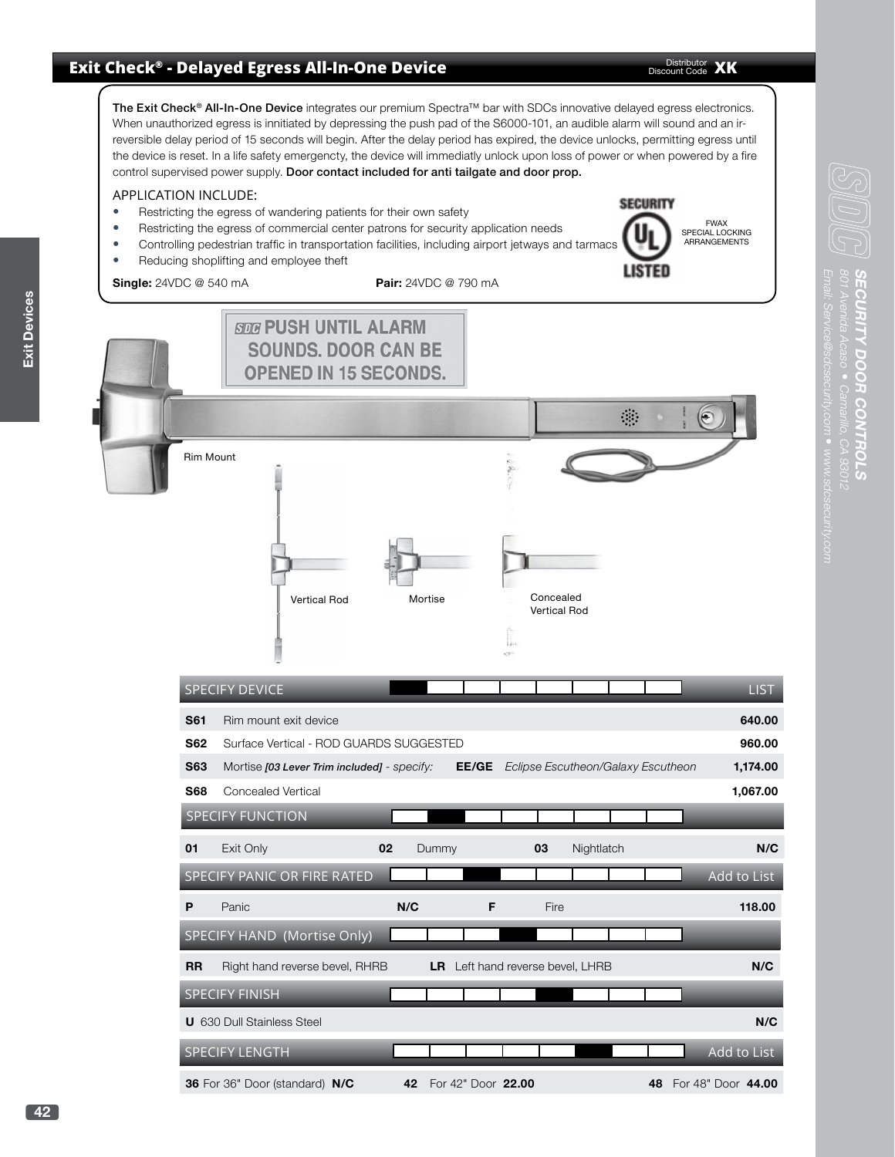## **Exit Check® - Delayed Egress All-In-One Device**

Distributor **XK** 

The Exit Check<sup>®</sup> All-In-One Device integrates our premium Spectra™ bar with SDCs innovative delayed egress electronics. When unauthorized egress is innitiated by depressing the push pad of the S6000-101, an audible alarm will sound and an irreversible delay period of 15 seconds will begin. After the delay period has expired, the device unlocks, permitting egress until the device is reset. In a life safety emergencty, the device will immediatly unlock upon loss of power or when powered by a fire control supervised power supply. Door contact included for anti tailgate and door prop.

## APPLICATION INCLUDE:

- Restricting the egress of wandering patients for their own safety
- Restricting the egress of commercial center patrons for security application needs
- Controlling pedestrian traffic in transportation facilities, including airport jetways and tarmacs • Reducing shoplifting and employee theft
- **Single:** 24VDC @ 540 mA **Pair:** 24VDC @ 790 mA
	-